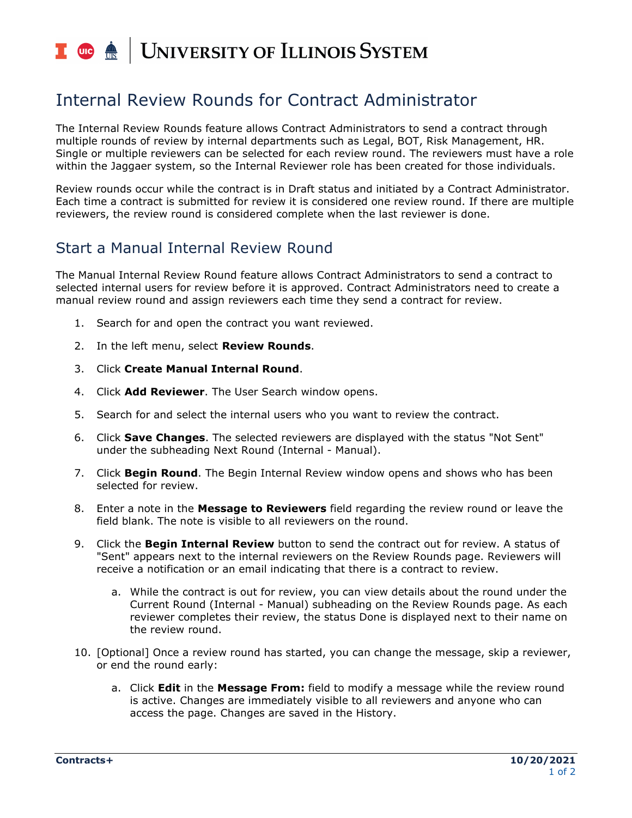## T uie <u>é</u> UNIVERSITY OF ILLINOIS SYSTEM

## Internal Review Rounds for Contract Administrator

The Internal Review Rounds feature allows Contract Administrators to send a contract through multiple rounds of review by internal departments such as Legal, BOT, Risk Management, HR. Single or multiple reviewers can be selected for each review round. The reviewers must have a role within the Jaggaer system, so the Internal Reviewer role has been created for those individuals.

Review rounds occur while the contract is in Draft status and initiated by a Contract Administrator. Each time a contract is submitted for review it is considered one review round. If there are multiple reviewers, the review round is considered complete when the last reviewer is done.

## Start a Manual Internal Review Round

The Manual Internal Review Round feature allows Contract Administrators to send a contract to selected internal users for review before it is approved. Contract Administrators need to create a manual review round and assign reviewers each time they send a contract for review.

- 1. Search for and open the contract you want reviewed.
- 2. In the left menu, select **Review Rounds**.
- 3. Click **Create Manual Internal Round**.
- 4. Click **Add Reviewer**. The User Search window opens.
- 5. Search for and select the internal users who you want to review the contract.
- 6. Click **Save Changes**. The selected reviewers are displayed with the status "Not Sent" under the subheading Next Round (Internal - Manual).
- 7. Click **Begin Round**. The Begin Internal Review window opens and shows who has been selected for review.
- 8. Enter a note in the **Message to Reviewers** field regarding the review round or leave the field blank. The note is visible to all reviewers on the round.
- 9. Click the **Begin Internal Review** button to send the contract out for review. A status of "Sent" appears next to the internal reviewers on the Review Rounds page. Reviewers will receive a notification or an email indicating that there is a contract to review.
	- a. While the contract is out for review, you can view details about the round under the Current Round (Internal - Manual) subheading on the Review Rounds page. As each reviewer completes their review, the status Done is displayed next to their name on the review round.
- 10. [Optional] Once a review round has started, you can change the message, skip a reviewer, or end the round early:
	- a. Click **Edit** in the **Message From:** field to modify a message while the review round is active. Changes are immediately visible to all reviewers and anyone who can access the page. Changes are saved in the History.